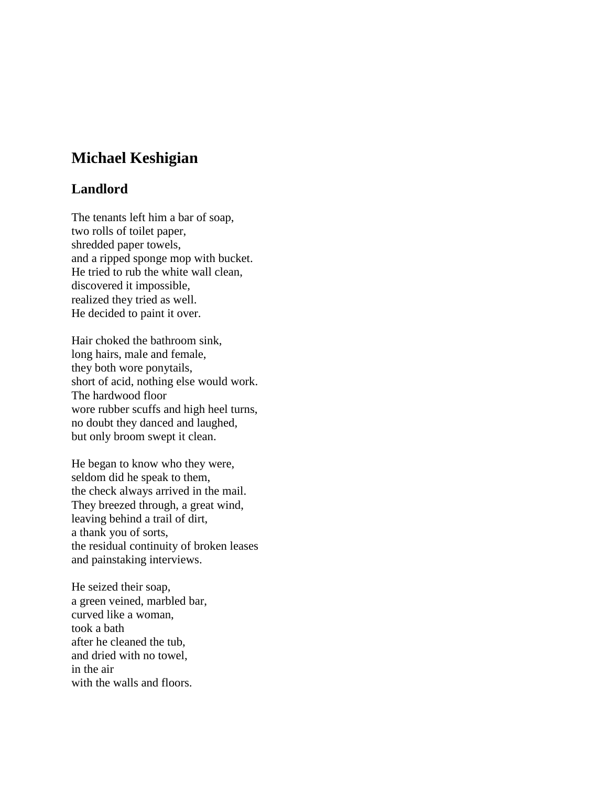## **Michael Keshigian**

## **Landlord**

The tenants left him a bar of soap, two rolls of toilet paper, shredded paper towels, and a ripped sponge mop with bucket. He tried to rub the white wall clean, discovered it impossible, realized they tried as well. He decided to paint it over.

Hair choked the bathroom sink, long hairs, male and female, they both wore ponytails, short of acid, nothing else would work. The hardwood floor wore rubber scuffs and high heel turns, no doubt they danced and laughed, but only broom swept it clean.

He began to know who they were, seldom did he speak to them, the check always arrived in the mail. They breezed through, a great wind, leaving behind a trail of dirt, a thank you of sorts, the residual continuity of broken leases and painstaking interviews.

He seized their soap, a green veined, marbled bar, curved like a woman, took a bath after he cleaned the tub, and dried with no towel, in the air with the walls and floors.